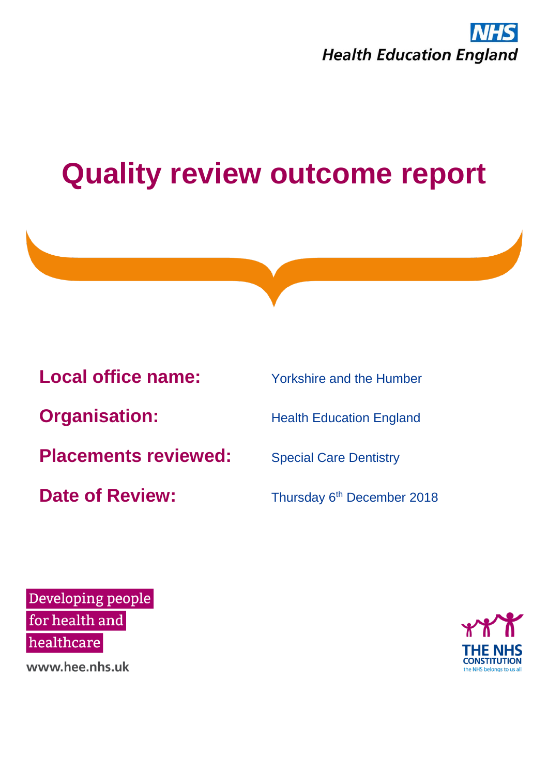



Developing people for health and healthcare

www.hee.nhs.uk

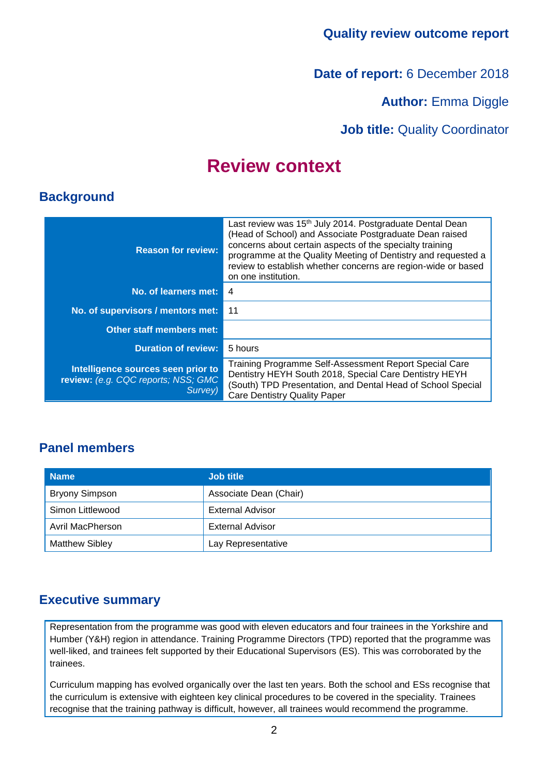**Date of report:** 6 December 2018

**Author: Emma Diggle** 

**Job title:** Quality Coordinator

### **Review context**

### **Background**

| <b>Reason for review:</b>                                                            | Last review was 15 <sup>th</sup> July 2014. Postgraduate Dental Dean<br>(Head of School) and Associate Postgraduate Dean raised<br>concerns about certain aspects of the specialty training<br>programme at the Quality Meeting of Dentistry and requested a<br>review to establish whether concerns are region-wide or based<br>on one institution. |
|--------------------------------------------------------------------------------------|------------------------------------------------------------------------------------------------------------------------------------------------------------------------------------------------------------------------------------------------------------------------------------------------------------------------------------------------------|
| No. of learners met:                                                                 | 4                                                                                                                                                                                                                                                                                                                                                    |
| No. of supervisors / mentors met:                                                    | 11                                                                                                                                                                                                                                                                                                                                                   |
| Other staff members met:                                                             |                                                                                                                                                                                                                                                                                                                                                      |
| <b>Duration of review:</b>                                                           | 5 hours                                                                                                                                                                                                                                                                                                                                              |
| Intelligence sources seen prior to<br>review: (e.g. CQC reports; NSS; GMC<br>Survey) | Training Programme Self-Assessment Report Special Care<br>Dentistry HEYH South 2018, Special Care Dentistry HEYH<br>(South) TPD Presentation, and Dental Head of School Special<br><b>Care Dentistry Quality Paper</b>                                                                                                                               |

### **Panel members**

| <b>Name</b>           | <b>Job title</b>        |
|-----------------------|-------------------------|
| <b>Bryony Simpson</b> | Associate Dean (Chair)  |
| Simon Littlewood      | External Advisor        |
| Avril MacPherson      | <b>External Advisor</b> |
| <b>Matthew Sibley</b> | Lay Representative      |

### **Executive summary**

Representation from the programme was good with eleven educators and four trainees in the Yorkshire and Humber (Y&H) region in attendance. Training Programme Directors (TPD) reported that the programme was well-liked, and trainees felt supported by their Educational Supervisors (ES). This was corroborated by the trainees.

Curriculum mapping has evolved organically over the last ten years. Both the school and ESs recognise that the curriculum is extensive with eighteen key clinical procedures to be covered in the speciality. Trainees recognise that the training pathway is difficult, however, all trainees would recommend the programme.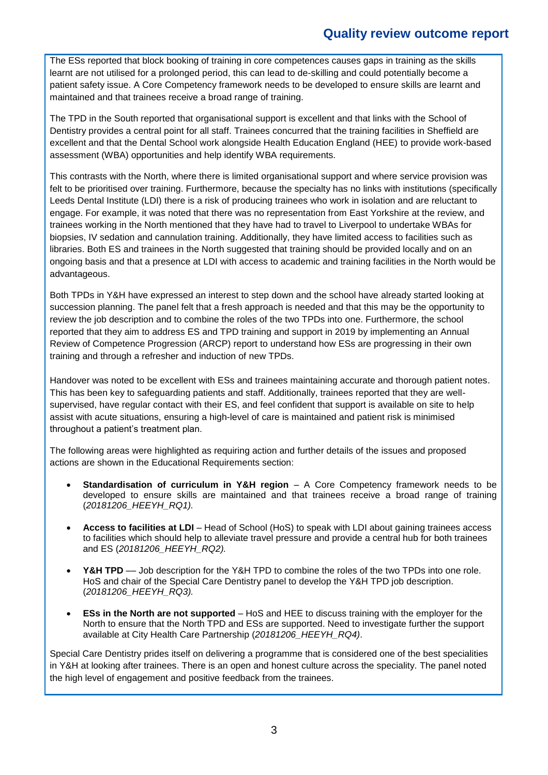The ESs reported that block booking of training in core competences causes gaps in training as the skills learnt are not utilised for a prolonged period, this can lead to de-skilling and could potentially become a patient safety issue. A Core Competency framework needs to be developed to ensure skills are learnt and maintained and that trainees receive a broad range of training.

The TPD in the South reported that organisational support is excellent and that links with the School of Dentistry provides a central point for all staff. Trainees concurred that the training facilities in Sheffield are excellent and that the Dental School work alongside Health Education England (HEE) to provide work-based assessment (WBA) opportunities and help identify WBA requirements.

This contrasts with the North, where there is limited organisational support and where service provision was felt to be prioritised over training. Furthermore, because the specialty has no links with institutions (specifically Leeds Dental Institute (LDI) there is a risk of producing trainees who work in isolation and are reluctant to engage. For example, it was noted that there was no representation from East Yorkshire at the review, and trainees working in the North mentioned that they have had to travel to Liverpool to undertake WBAs for biopsies, IV sedation and cannulation training. Additionally, they have limited access to facilities such as libraries. Both ES and trainees in the North suggested that training should be provided locally and on an ongoing basis and that a presence at LDI with access to academic and training facilities in the North would be advantageous.

Both TPDs in Y&H have expressed an interest to step down and the school have already started looking at succession planning. The panel felt that a fresh approach is needed and that this may be the opportunity to review the job description and to combine the roles of the two TPDs into one. Furthermore, the school reported that they aim to address ES and TPD training and support in 2019 by implementing an Annual Review of Competence Progression (ARCP) report to understand how ESs are progressing in their own training and through a refresher and induction of new TPDs.

Handover was noted to be excellent with ESs and trainees maintaining accurate and thorough patient notes. This has been key to safeguarding patients and staff. Additionally, trainees reported that they are wellsupervised, have regular contact with their ES, and feel confident that support is available on site to help assist with acute situations, ensuring a high-level of care is maintained and patient risk is minimised throughout a patient's treatment plan.

The following areas were highlighted as requiring action and further details of the issues and proposed actions are shown in the Educational Requirements section:

- **Standardisation of curriculum in Y&H region** A Core Competency framework needs to be developed to ensure skills are maintained and that trainees receive a broad range of training (*20181206\_HEEYH\_RQ1).*
- **Access to facilities at LDI** Head of School (HoS) to speak with LDI about gaining trainees access to facilities which should help to alleviate travel pressure and provide a central hub for both trainees and ES (*20181206\_HEEYH\_RQ2).*
- **Y&H TPD** –– Job description for the Y&H TPD to combine the roles of the two TPDs into one role. HoS and chair of the Special Care Dentistry panel to develop the Y&H TPD job description. (*20181206\_HEEYH\_RQ3).*
- **ESs in the North are not supported** HoS and HEE to discuss training with the employer for the North to ensure that the North TPD and ESs are supported. Need to investigate further the support available at City Health Care Partnership (*20181206\_HEEYH\_RQ4)*.

Special Care Dentistry prides itself on delivering a programme that is considered one of the best specialities in Y&H at looking after trainees. There is an open and honest culture across the speciality. The panel noted the high level of engagement and positive feedback from the trainees.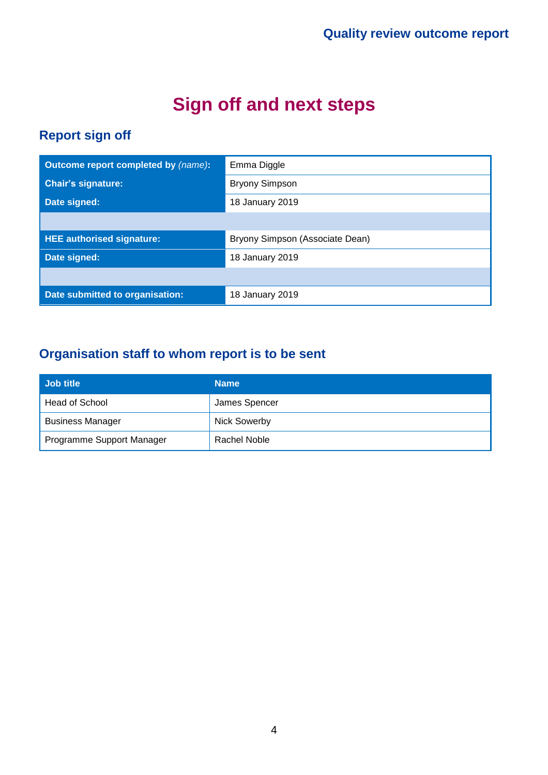# **Sign off and next steps**

### **Report sign off**

| Outcome report completed by (name): | Emma Diggle                     |
|-------------------------------------|---------------------------------|
| <b>Chair's signature:</b>           | <b>Bryony Simpson</b>           |
| Date signed:                        | 18 January 2019                 |
|                                     |                                 |
| <b>HEE authorised signature:</b>    | Bryony Simpson (Associate Dean) |
| Date signed:                        | 18 January 2019                 |
|                                     |                                 |
| Date submitted to organisation:     | 18 January 2019                 |

### **Organisation staff to whom report is to be sent**

| Job title                 | <b>Name</b>         |
|---------------------------|---------------------|
| Head of School            | James Spencer       |
| <b>Business Manager</b>   | <b>Nick Sowerby</b> |
| Programme Support Manager | Rachel Noble        |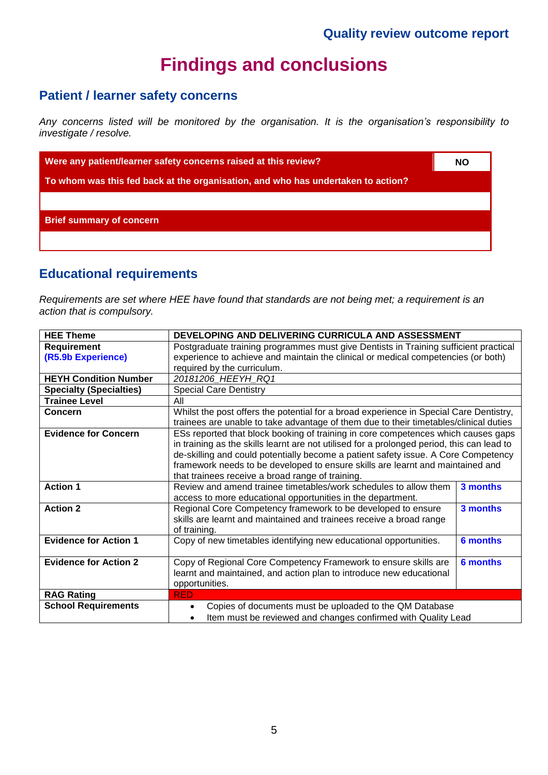### **Findings and conclusions**

### **Patient / learner safety concerns**

*Any concerns listed will be monitored by the organisation. It is the organisation's responsibility to investigate / resolve.*

**Were any patient/learner safety concerns raised at this review?** NO **NO** 

**To whom was this fed back at the organisation, and who has undertaken to action?**

**Brief summary of concern**

### **Educational requirements**

*Requirements are set where HEE have found that standards are not being met; a requirement is an action that is compulsory.*

| <b>HEE Theme</b>               | DEVELOPING AND DELIVERING CURRICULA AND ASSESSMENT                                         |                 |
|--------------------------------|--------------------------------------------------------------------------------------------|-----------------|
| <b>Requirement</b>             | Postgraduate training programmes must give Dentists in Training sufficient practical       |                 |
| (R5.9b Experience)             | experience to achieve and maintain the clinical or medical competencies (or both)          |                 |
|                                | required by the curriculum.                                                                |                 |
| <b>HEYH Condition Number</b>   | 20181206 HEEYH RQ1                                                                         |                 |
| <b>Specialty (Specialties)</b> | <b>Special Care Dentistry</b>                                                              |                 |
| <b>Trainee Level</b>           | All                                                                                        |                 |
| <b>Concern</b>                 | Whilst the post offers the potential for a broad experience in Special Care Dentistry,     |                 |
|                                | trainees are unable to take advantage of them due to their timetables/clinical duties      |                 |
| <b>Evidence for Concern</b>    | ESs reported that block booking of training in core competences which causes gaps          |                 |
|                                | in training as the skills learnt are not utilised for a prolonged period, this can lead to |                 |
|                                | de-skilling and could potentially become a patient safety issue. A Core Competency         |                 |
|                                | framework needs to be developed to ensure skills are learnt and maintained and             |                 |
|                                | that trainees receive a broad range of training.                                           |                 |
| <b>Action 1</b>                | Review and amend trainee timetables/work schedules to allow them                           | 3 months        |
|                                | access to more educational opportunities in the department.                                |                 |
| <b>Action 2</b>                | Regional Core Competency framework to be developed to ensure                               | 3 months        |
|                                | skills are learnt and maintained and trainees receive a broad range                        |                 |
|                                | of training.                                                                               |                 |
| <b>Evidence for Action 1</b>   | Copy of new timetables identifying new educational opportunities.                          | <b>6 months</b> |
|                                |                                                                                            |                 |
| <b>Evidence for Action 2</b>   | Copy of Regional Core Competency Framework to ensure skills are                            | <b>6 months</b> |
|                                | learnt and maintained, and action plan to introduce new educational                        |                 |
|                                | opportunities.                                                                             |                 |
| <b>RAG Rating</b>              | <b>RED</b>                                                                                 |                 |
| <b>School Requirements</b>     | Copies of documents must be uploaded to the QM Database<br>$\bullet$                       |                 |
|                                | Item must be reviewed and changes confirmed with Quality Lead<br>$\bullet$                 |                 |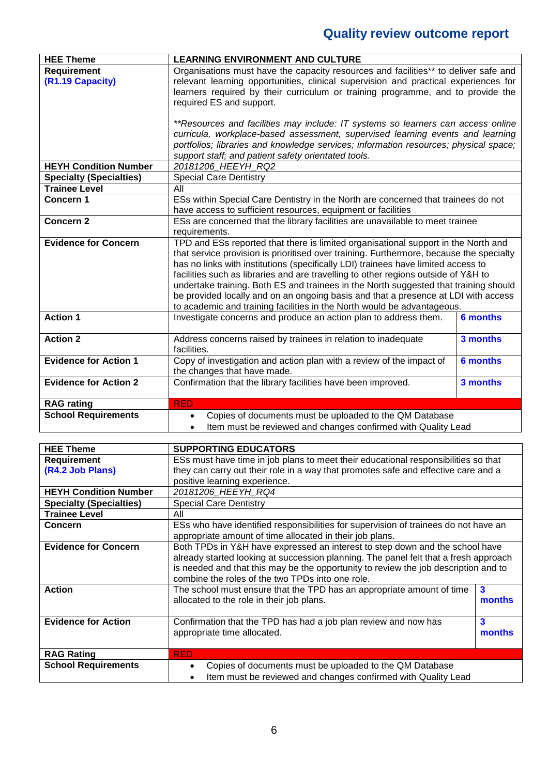| <b>HEE Theme</b>                                       | <b>LEARNING ENVIRONMENT AND CULTURE</b>                                                                                                           |                 |  |
|--------------------------------------------------------|---------------------------------------------------------------------------------------------------------------------------------------------------|-----------------|--|
| <b>Requirement</b>                                     | Organisations must have the capacity resources and facilities** to deliver safe and                                                               |                 |  |
| (R1.19 Capacity)                                       | relevant learning opportunities, clinical supervision and practical experiences for                                                               |                 |  |
|                                                        | learners required by their curriculum or training programme, and to provide the                                                                   |                 |  |
|                                                        | required ES and support.                                                                                                                          |                 |  |
|                                                        |                                                                                                                                                   |                 |  |
|                                                        | **Resources and facilities may include: IT systems so learners can access online                                                                  |                 |  |
|                                                        | curricula, workplace-based assessment, supervised learning events and learning                                                                    |                 |  |
|                                                        | portfolios; libraries and knowledge services; information resources; physical space;                                                              |                 |  |
| <b>HEYH Condition Number</b>                           | support staff; and patient safety orientated tools.<br>20181206 HEEYH RQ2                                                                         |                 |  |
|                                                        |                                                                                                                                                   |                 |  |
| <b>Specialty (Specialties)</b><br><b>Trainee Level</b> | <b>Special Care Dentistry</b><br>All                                                                                                              |                 |  |
| Concern 1                                              |                                                                                                                                                   |                 |  |
|                                                        | ESs within Special Care Dentistry in the North are concerned that trainees do not<br>have access to sufficient resources, equipment or facilities |                 |  |
| Concern <sub>2</sub>                                   | ESs are concerned that the library facilities are unavailable to meet trainee                                                                     |                 |  |
|                                                        | requirements.                                                                                                                                     |                 |  |
| <b>Evidence for Concern</b>                            | TPD and ESs reported that there is limited organisational support in the North and                                                                |                 |  |
|                                                        | that service provision is prioritised over training. Furthermore, because the specialty                                                           |                 |  |
|                                                        | has no links with institutions (specifically LDI) trainees have limited access to                                                                 |                 |  |
|                                                        | facilities such as libraries and are travelling to other regions outside of Y&H to                                                                |                 |  |
|                                                        | undertake training. Both ES and trainees in the North suggested that training should                                                              |                 |  |
|                                                        | be provided locally and on an ongoing basis and that a presence at LDI with access                                                                |                 |  |
|                                                        | to academic and training facilities in the North would be advantageous.                                                                           |                 |  |
| <b>Action 1</b>                                        | Investigate concerns and produce an action plan to address them.                                                                                  | <b>6 months</b> |  |
|                                                        |                                                                                                                                                   |                 |  |
| <b>Action 2</b>                                        | Address concerns raised by trainees in relation to inadequate                                                                                     | 3 months        |  |
|                                                        | facilities.                                                                                                                                       |                 |  |
| <b>Evidence for Action 1</b>                           | Copy of investigation and action plan with a review of the impact of<br><b>6 months</b>                                                           |                 |  |
|                                                        | the changes that have made.                                                                                                                       |                 |  |
| <b>Evidence for Action 2</b>                           | Confirmation that the library facilities have been improved.                                                                                      | 3 months        |  |
|                                                        |                                                                                                                                                   |                 |  |
| <b>RAG rating</b>                                      | <b>RED</b>                                                                                                                                        |                 |  |
| <b>School Requirements</b>                             | Copies of documents must be uploaded to the QM Database<br>$\bullet$                                                                              |                 |  |
|                                                        | Item must be reviewed and changes confirmed with Quality Lead                                                                                     |                 |  |

| <b>HEE Theme</b>               | <b>SUPPORTING EDUCATORS</b>                                                          |        |  |
|--------------------------------|--------------------------------------------------------------------------------------|--------|--|
| <b>Requirement</b>             | ESs must have time in job plans to meet their educational responsibilities so that   |        |  |
| (R4.2 Job Plans)               | they can carry out their role in a way that promotes safe and effective care and a   |        |  |
|                                | positive learning experience.                                                        |        |  |
| <b>HEYH Condition Number</b>   | 20181206 HEEYH RQ4                                                                   |        |  |
| <b>Specialty (Specialties)</b> | <b>Special Care Dentistry</b>                                                        |        |  |
| <b>Trainee Level</b>           | All                                                                                  |        |  |
| <b>Concern</b>                 | ESs who have identified responsibilities for supervision of trainees do not have an  |        |  |
|                                | appropriate amount of time allocated in their job plans.                             |        |  |
| <b>Evidence for Concern</b>    | Both TPDs in Y&H have expressed an interest to step down and the school have         |        |  |
|                                | already started looking at succession planning. The panel felt that a fresh approach |        |  |
|                                | is needed and that this may be the opportunity to review the job description and to  |        |  |
|                                | combine the roles of the two TPDs into one role.                                     |        |  |
| <b>Action</b>                  | The school must ensure that the TPD has an appropriate amount of time                | 3      |  |
|                                | allocated to the role in their job plans.                                            | months |  |
|                                |                                                                                      |        |  |
| <b>Evidence for Action</b>     | Confirmation that the TPD has had a job plan review and now has                      | 3      |  |
|                                | appropriate time allocated.<br>months                                                |        |  |
|                                |                                                                                      |        |  |
| <b>RAG Rating</b>              | <b>RED</b>                                                                           |        |  |
| <b>School Requirements</b>     | Copies of documents must be uploaded to the QM Database<br>$\bullet$                 |        |  |
|                                | Item must be reviewed and changes confirmed with Quality Lead<br>$\bullet$           |        |  |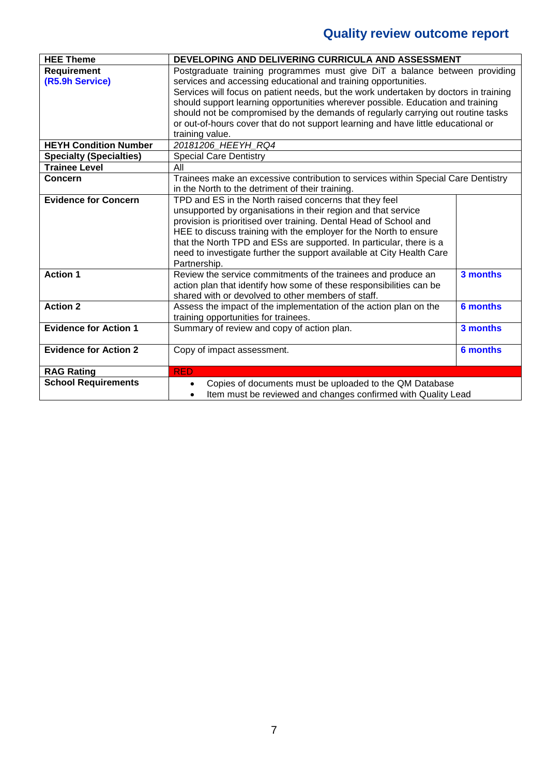| <b>HEE Theme</b>               | DEVELOPING AND DELIVERING CURRICULA AND ASSESSMENT                                   |                 |  |
|--------------------------------|--------------------------------------------------------------------------------------|-----------------|--|
| <b>Requirement</b>             | Postgraduate training programmes must give DiT a balance between providing           |                 |  |
| (R5.9h Service)                | services and accessing educational and training opportunities.                       |                 |  |
|                                | Services will focus on patient needs, but the work undertaken by doctors in training |                 |  |
|                                | should support learning opportunities wherever possible. Education and training      |                 |  |
|                                | should not be compromised by the demands of regularly carrying out routine tasks     |                 |  |
|                                | or out-of-hours cover that do not support learning and have little educational or    |                 |  |
|                                | training value.                                                                      |                 |  |
| <b>HEYH Condition Number</b>   | 20181206 HEEYH RQ4                                                                   |                 |  |
| <b>Specialty (Specialties)</b> | <b>Special Care Dentistry</b>                                                        |                 |  |
| <b>Trainee Level</b>           | All                                                                                  |                 |  |
| Concern                        | Trainees make an excessive contribution to services within Special Care Dentistry    |                 |  |
|                                | in the North to the detriment of their training.                                     |                 |  |
| <b>Evidence for Concern</b>    | TPD and ES in the North raised concerns that they feel                               |                 |  |
|                                | unsupported by organisations in their region and that service                        |                 |  |
|                                | provision is prioritised over training. Dental Head of School and                    |                 |  |
|                                | HEE to discuss training with the employer for the North to ensure                    |                 |  |
|                                | that the North TPD and ESs are supported. In particular, there is a                  |                 |  |
|                                | need to investigate further the support available at City Health Care                |                 |  |
|                                | Partnership.                                                                         |                 |  |
| <b>Action 1</b>                | Review the service commitments of the trainees and produce an                        | 3 months        |  |
|                                | action plan that identify how some of these responsibilities can be                  |                 |  |
|                                | shared with or devolved to other members of staff.                                   |                 |  |
| <b>Action 2</b>                | Assess the impact of the implementation of the action plan on the                    | <b>6 months</b> |  |
|                                | training opportunities for trainees.                                                 |                 |  |
| <b>Evidence for Action 1</b>   | Summary of review and copy of action plan.                                           | 3 months        |  |
|                                |                                                                                      |                 |  |
| <b>Evidence for Action 2</b>   | Copy of impact assessment.                                                           | <b>6 months</b> |  |
|                                |                                                                                      |                 |  |
| <b>RAG Rating</b>              | <b>RED</b>                                                                           |                 |  |
| <b>School Requirements</b>     | Copies of documents must be uploaded to the QM Database<br>$\bullet$                 |                 |  |
|                                | Item must be reviewed and changes confirmed with Quality Lead<br>$\bullet$           |                 |  |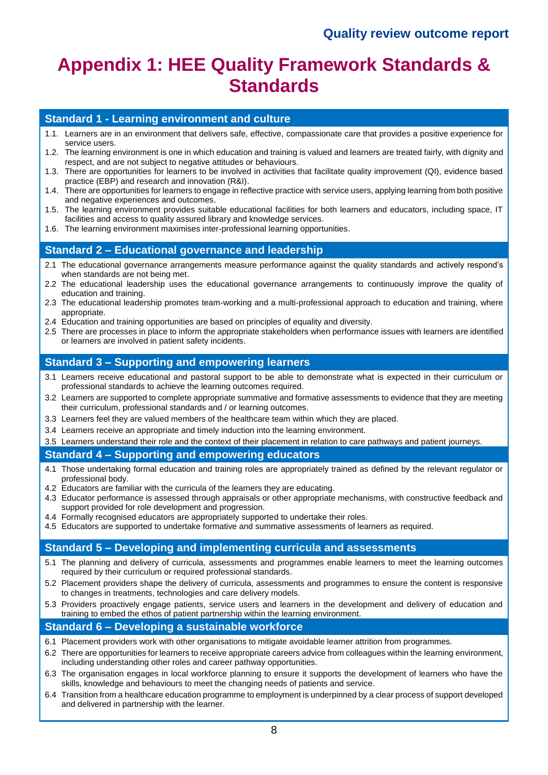## **Appendix 1: HEE Quality Framework Standards & Standards**

#### **Standard 1 - Learning environment and culture**

- 1.1. Learners are in an environment that delivers safe, effective, compassionate care that provides a positive experience for service users.
- 1.2. The learning environment is one in which education and training is valued and learners are treated fairly, with dignity and respect, and are not subject to negative attitudes or behaviours.
- 1.3. There are opportunities for learners to be involved in activities that facilitate quality improvement (QI), evidence based practice (EBP) and research and innovation (R&I).
- 1.4. There are opportunities for learners to engage in reflective practice with service users, applying learning from both positive and negative experiences and outcomes.
- 1.5. The learning environment provides suitable educational facilities for both learners and educators, including space, IT facilities and access to quality assured library and knowledge services.
- 1.6. The learning environment maximises inter-professional learning opportunities.

#### **Standard 2 – Educational governance and leadership**

- 2.1 The educational governance arrangements measure performance against the quality standards and actively respond's when standards are not being met.
- 2.2 The educational leadership uses the educational governance arrangements to continuously improve the quality of education and training.
- 2.3 The educational leadership promotes team-working and a multi-professional approach to education and training, where appropriate.
- 2.4 Education and training opportunities are based on principles of equality and diversity.
- 2.5 There are processes in place to inform the appropriate stakeholders when performance issues with learners are identified or learners are involved in patient safety incidents.

#### **Standard 3 – Supporting and empowering learners**

- 3.1 Learners receive educational and pastoral support to be able to demonstrate what is expected in their curriculum or professional standards to achieve the learning outcomes required.
- 3.2 Learners are supported to complete appropriate summative and formative assessments to evidence that they are meeting their curriculum, professional standards and / or learning outcomes.
- 3.3 Learners feel they are valued members of the healthcare team within which they are placed.
- 3.4 Learners receive an appropriate and timely induction into the learning environment.
- 3.5 Learners understand their role and the context of their placement in relation to care pathways and patient journeys.

#### **Standard 4 – Supporting and empowering educators**

- 4.1 Those undertaking formal education and training roles are appropriately trained as defined by the relevant regulator or professional body.
- 4.2 Educators are familiar with the curricula of the learners they are educating.
- 4.3 Educator performance is assessed through appraisals or other appropriate mechanisms, with constructive feedback and support provided for role development and progression.
- 4.4 Formally recognised educators are appropriately supported to undertake their roles.
- 4.5 Educators are supported to undertake formative and summative assessments of learners as required.

#### **Standard 5 – Developing and implementing curricula and assessments**

- 5.1 The planning and delivery of curricula, assessments and programmes enable learners to meet the learning outcomes required by their curriculum or required professional standards.
- 5.2 Placement providers shape the delivery of curricula, assessments and programmes to ensure the content is responsive to changes in treatments, technologies and care delivery models.
- 5.3 Providers proactively engage patients, service users and learners in the development and delivery of education and training to embed the ethos of patient partnership within the learning environment.

#### **Standard 6 – Developing a sustainable workforce**

- 6.1 Placement providers work with other organisations to mitigate avoidable learner attrition from programmes.
- 6.2 There are opportunities for learners to receive appropriate careers advice from colleagues within the learning environment, including understanding other roles and career pathway opportunities.
- 6.3 The organisation engages in local workforce planning to ensure it supports the development of learners who have the skills, knowledge and behaviours to meet the changing needs of patients and service.
- 6.4 Transition from a healthcare education programme to employment is underpinned by a clear process of support developed and delivered in partnership with the learner.